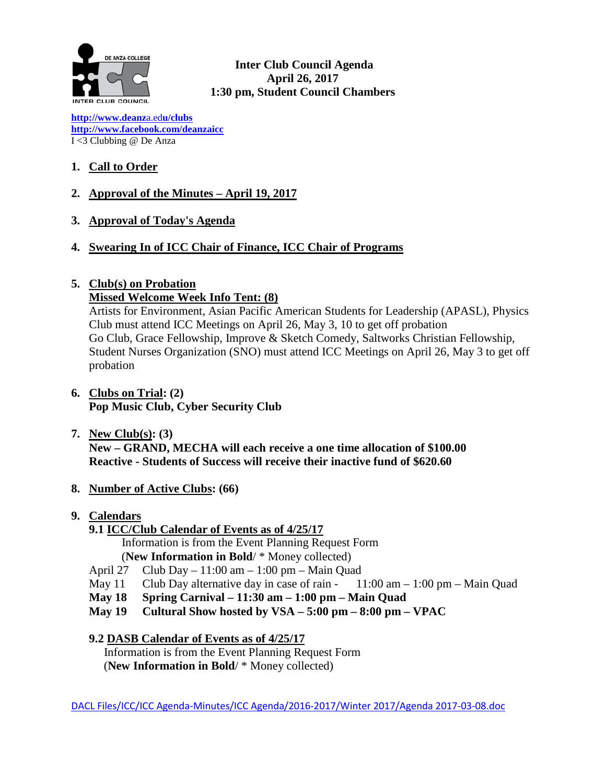

**Inter Club Council Agenda April 26, 2017 1:30 pm, Student Council Chambers**

**[http://www.deanz](http://www.deanza.edu/clubs)**[a.ed](http://www.deanza.edu/clubs)**[u/clubs](http://www.deanza.edu/clubs) [http://www.facebook.com/deanzaicc](http://www.facebook.com/home.php#!/group.php?gid=59034552686)** I <3 Clubbing @ De Anza

# **1. Call to Order**

- **2. Approval of the Minutes – April 19, 2017**
- **3. Approval of Today's Agenda**
- **4. Swearing In of ICC Chair of Finance, ICC Chair of Programs**

# **5. Club(s) on Probation**

### **Missed Welcome Week Info Tent: (8)**

Artists for Environment, Asian Pacific American Students for Leadership (APASL), Physics Club must attend ICC Meetings on April 26, May 3, 10 to get off probation Go Club, Grace Fellowship, Improve & Sketch Comedy, Saltworks Christian Fellowship, Student Nurses Organization (SNO) must attend ICC Meetings on April 26, May 3 to get off probation

- **6. Clubs on Trial: (2) Pop Music Club, Cyber Security Club**
- **7. New Club(s): (3) New – GRAND, MECHA will each receive a one time allocation of \$100.00 Reactive - Students of Success will receive their inactive fund of \$620.60**
- **8. Number of Active Clubs: (66)**
- **9. Calendars**
	- **9.1 ICC/Club Calendar of Events as of 4/25/17**

Information is from the Event Planning Request Form

- (**New Information in Bold**/ \* Money collected) April 27 Club Day  $-11:00$  am  $-1:00$  pm  $-$  Main Quad
- May 11 Club Day alternative day in case of rain  $11:00 \text{ am} 1:00 \text{ pm} \text{Main Quad}$
- **May 18 Spring Carnival – 11:30 am – 1:00 pm – Main Quad**
- **May 19 Cultural Show hosted by VSA – 5:00 pm – 8:00 pm – VPAC**

**9.2 DASB Calendar of Events as of 4/25/17**

Information is from the Event Planning Request Form (**New Information in Bold**/ \* Money collected)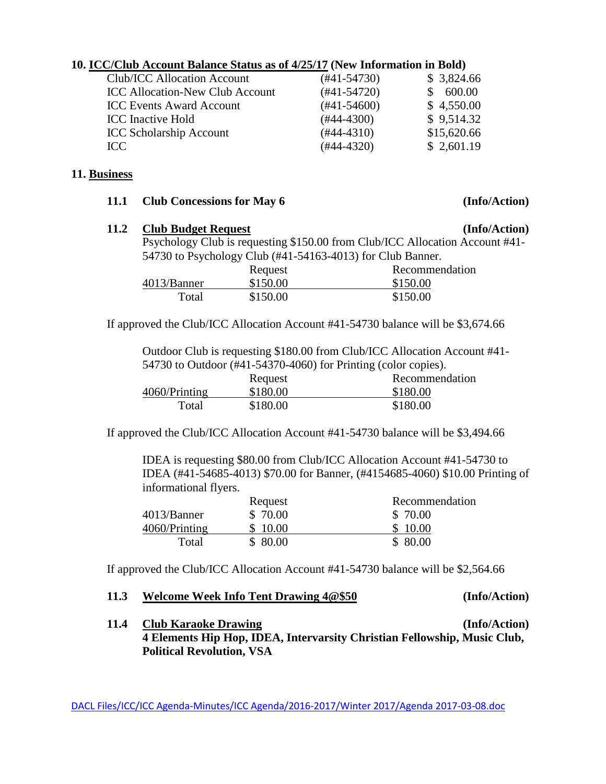### **10. ICC/Club Account Balance Status as of 4/25/17 (New Information in Bold)**

| <b>Club/ICC Allocation Account</b>     | $(#41-54730)$    | \$3,824.66  |
|----------------------------------------|------------------|-------------|
| <b>ICC Allocation-New Club Account</b> | $(#41-54720)$    | 600.00      |
| <b>ICC Events Award Account</b>        | $(\#41 - 54600)$ | \$4,550.00  |
| <b>ICC</b> Inactive Hold               | $(#44-4300)$     | \$9,514.32  |
| <b>ICC Scholarship Account</b>         | $(#44-4310)$     | \$15,620.66 |
| ICC                                    | $(#44-4320)$     | \$2,601.19  |

#### **11. Business**

| 11.1 |  | <b>Club Concessions for May 6</b> |  |  |  |
|------|--|-----------------------------------|--|--|--|
|------|--|-----------------------------------|--|--|--|

# **11.2 Club Budget Request (Info/Action)** Psychology Club is requesting \$150.00 from Club/ICC Allocation Account #41- 54730 to Psychology Club (#41-54163-4013) for Club Banner. Request Recommendation 4013/Banner \$150.00 \$150.00

If approved the Club/ICC Allocation Account #41-54730 balance will be \$3,674.66

Total \$150.00 \$150.00

Outdoor Club is requesting \$180.00 from Club/ICC Allocation Account #41- 54730 to Outdoor (#41-54370-4060) for Printing (color copies).

|               | Request  | Recommendation |
|---------------|----------|----------------|
| 4060/Printing | \$180.00 | \$180.00       |
| Total         | \$180.00 | \$180.00       |

If approved the Club/ICC Allocation Account #41-54730 balance will be \$3,494.66

IDEA is requesting \$80.00 from Club/ICC Allocation Account #41-54730 to IDEA (#41-54685-4013) \$70.00 for Banner, (#4154685-4060) \$10.00 Printing of informational flyers.

|               | Request  | Recommendation |
|---------------|----------|----------------|
| 4013/Banner   | \$ 70.00 | \$70.00        |
| 4060/Printing | \$10.00  | \$10.00        |
| Total         | \$80.00  | \$80.00        |

If approved the Club/ICC Allocation Account #41-54730 balance will be \$2,564.66

#### **11.3 Welcome Week Info Tent Drawing 4@\$50 (Info/Action)**

**11.4 Club Karaoke Drawing (Info/Action) 4 Elements Hip Hop, IDEA, Intervarsity Christian Fellowship, Music Club, Political Revolution, VSA**

#### **(Info/Action)**